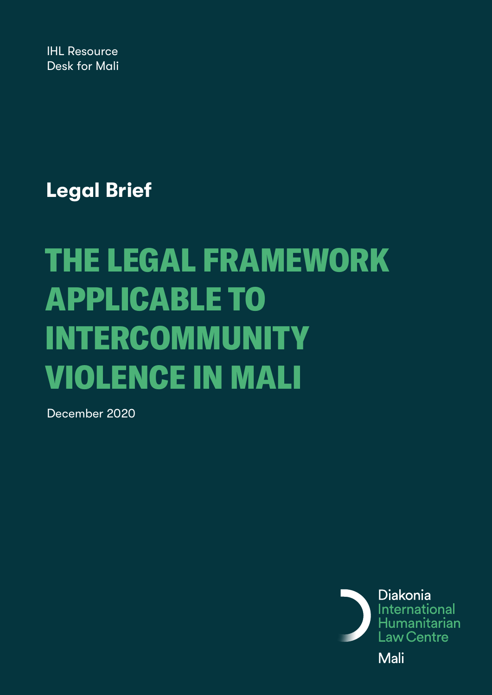IHL Resource Desk for Mali

**Legal Brief**

# THE LEGAL FRAMEWORK APPLICABLE TO INTERCOMMUNITY VIOLENCE IN MALI

December 2020

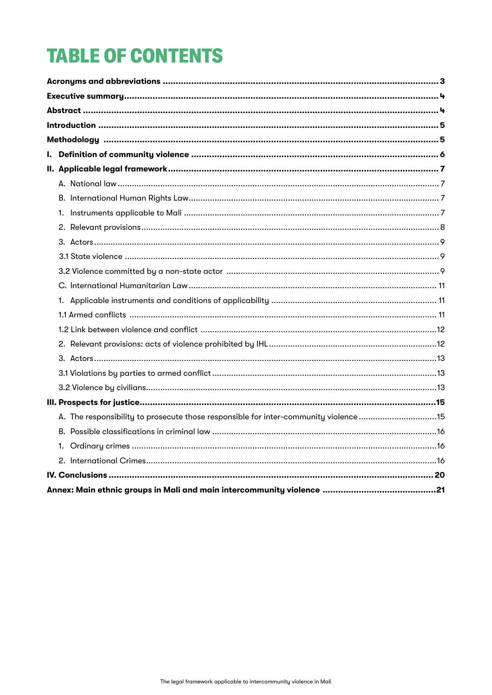# **TABLE OF CONTENTS**

| A. The responsibility to prosecute those responsible for inter-community violence15 |  |
|-------------------------------------------------------------------------------------|--|
|                                                                                     |  |
|                                                                                     |  |
|                                                                                     |  |
|                                                                                     |  |
|                                                                                     |  |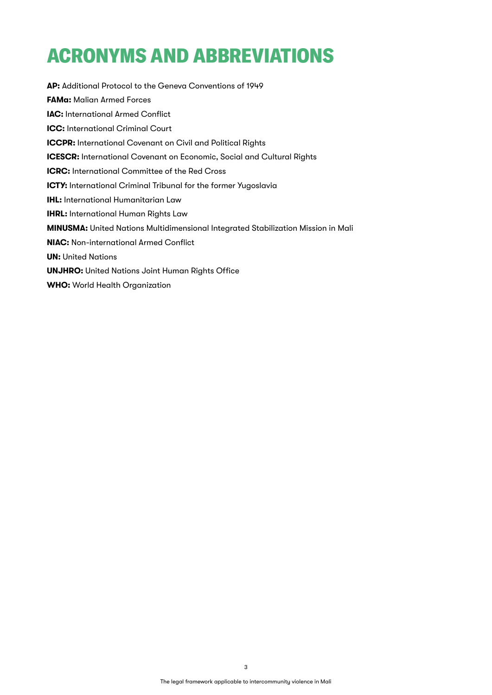# <span id="page-2-0"></span>ACRONYMS AND ABBREVIATIONS

**AP:** Additional Protocol to the Geneva Conventions of 1949 **FAMa:** Malian Armed Forces **IAC:** International Armed Conflict **ICC:** International Criminal Court **ICCPR:** International Covenant on Civil and Political Rights **ICESCR:** International Covenant on Economic, Social and Cultural Rights **ICRC:** International Committee of the Red Cross **ICTY:** International Criminal Tribunal for the former Yugoslavia **IHL:** International Humanitarian Law **IHRL:** International Human Rights Law **MINUSMA:** United Nations Multidimensional Integrated Stabilization Mission in Mali **NIAC:** Non-international Armed Conflict **UN: United Nations UNJHRO:** United Nations Joint Human Rights Office **WHO:** World Health Organization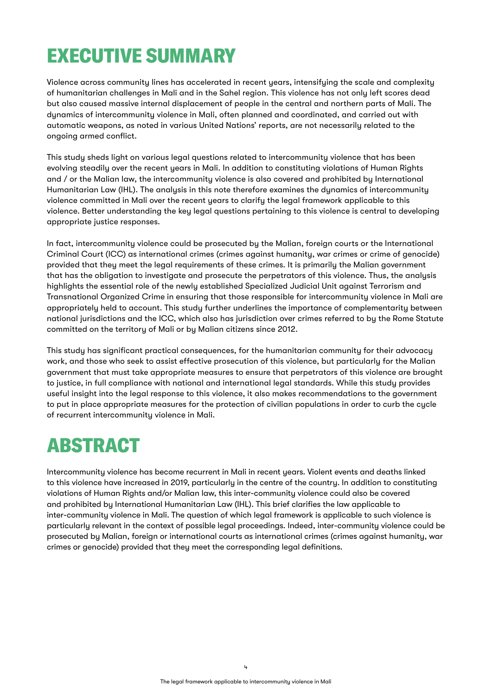### <span id="page-3-0"></span>EXECUTIVE SUMMARY

Violence across community lines has accelerated in recent years, intensifying the scale and complexity of humanitarian challenges in Mali and in the Sahel region. This violence has not only left scores dead but also caused massive internal displacement of people in the central and northern parts of Mali. The dynamics of intercommunity violence in Mali, often planned and coordinated, and carried out with automatic weapons, as noted in various United Nations' reports, are not necessarily related to the ongoing armed conflict.

This study sheds light on various legal questions related to intercommunity violence that has been evolving steadily over the recent years in Mali. In addition to constituting violations of Human Rights and / or the Malian law, the intercommunity violence is also covered and prohibited by International Humanitarian Law (IHL). The analysis in this note therefore examines the dynamics of intercommunity violence committed in Mali over the recent years to clarify the legal framework applicable to this violence. Better understanding the key legal questions pertaining to this violence is central to developing appropriate justice responses.

In fact, intercommunity violence could be prosecuted by the Malian, foreign courts or the International Criminal Court (ICC) as international crimes (crimes against humanity, war crimes or crime of genocide) provided that they meet the legal requirements of these crimes. It is primarily the Malian government that has the obligation to investigate and prosecute the perpetrators of this violence. Thus, the analysis highlights the essential role of the newly established Specialized Judicial Unit against Terrorism and Transnational Organized Crime in ensuring that those responsible for intercommunity violence in Mali are appropriately held to account. This study further underlines the importance of complementarity between national jurisdictions and the ICC, which also has jurisdiction over crimes referred to by the Rome Statute committed on the territory of Mali or by Malian citizens since 2012.

This study has significant practical consequences, for the humanitarian community for their advocacy work, and those who seek to assist effective prosecution of this violence, but particularly for the Malian government that must take appropriate measures to ensure that perpetrators of this violence are brought to justice, in full compliance with national and international legal standards. While this study provides useful insight into the legal response to this violence, it also makes recommendations to the government to put in place appropriate measures for the protection of civilian populations in order to curb the cycle of recurrent intercommunity violence in Mali.

### ABSTRACT

Intercommunity violence has become recurrent in Mali in recent years. Violent events and deaths linked to this violence have increased in 2019, particularly in the centre of the country. In addition to constituting violations of Human Rights and/or Malian law, this inter-community violence could also be covered and prohibited by International Humanitarian Law (IHL). This brief clarifies the law applicable to inter-community violence in Mali. The question of which legal framework is applicable to such violence is particularly relevant in the context of possible legal proceedings. Indeed, inter-community violence could be prosecuted by Malian, foreign or international courts as international crimes (crimes against humanity, war crimes or genocide) provided that they meet the corresponding legal definitions.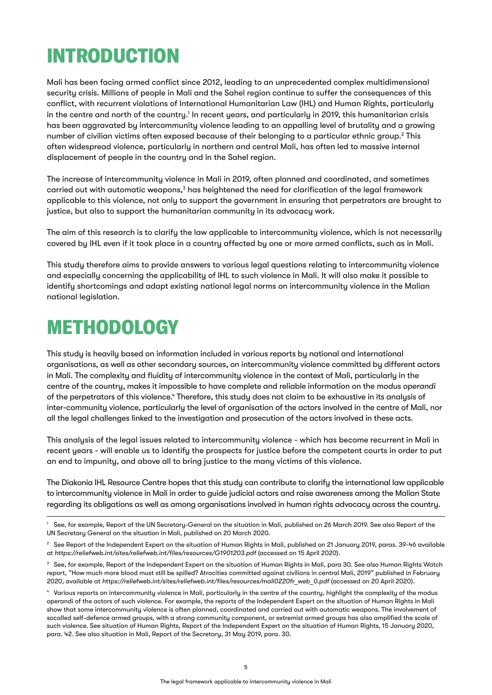### <span id="page-4-0"></span>INTRODUCTION

Mali has been facing armed conflict since 2012, leading to an unprecedented complex multidimensional security crisis. Millions of people in Mali and the Sahel region continue to suffer the consequences of this conflict, with recurrent violations of International Humanitarian Law (IHL) and Human Rights, particularly in the centre and north of the country. $^1$  In recent years, and particularly in 2019, this humanitarian crisis has been aggravated by intercommunity violence leading to an appalling level of brutality and a growing number of civilian victims often exposed because of their belonging to a particular ethnic group. $^{\text{2}}$  This often widespread violence, particularly in northern and central Mali, has often led to massive internal displacement of people in the country and in the Sahel region.

The increase of intercommunity violence in Mali in 2019, often planned and coordinated, and sometimes carried out with automatic weapons, $^3$  has heightened the need for clarification of the legal framework applicable to this violence, not only to support the government in ensuring that perpetrators are brought to justice, but also to support the humanitarian community in its advocacy work.

The aim of this research is to clarify the law applicable to intercommunity violence, which is not necessarily covered by IHL even if it took place in a country affected by one or more armed conflicts, such as in Mali.

This study therefore aims to provide answers to various legal questions relating to intercommunity violence and especially concerning the applicability of IHL to such violence in Mali. It will also make it possible to identify shortcomings and adapt existing national legal norms on intercommunity violence in the Malian national legislation.

### METHODOLOGY

This study is heavily based on information included in various reports by national and international organisations, as well as other secondary sources, on intercommunity violence committed by different actors in Mali. The complexity and fluidity of intercommunity violence in the context of Mali, particularly in the centre of the country, makes it impossible to have complete and reliable information on the *modus operandi* of the perpetrators of this violence." Therefore, this study does not claim to be exhaustive in its analysis of inter-community violence, particularly the level of organisation of the actors involved in the centre of Mali, nor all the legal challenges linked to the investigation and prosecution of the actors involved in these acts.

This analysis of the legal issues related to intercommunity violence - which has become recurrent in Mali in recent years - will enable us to identify the prospects for justice before the competent courts in order to put an end to impunity, and above all to bring justice to the many victims of this violence.

The Diakonia IHL Resource Centre hopes that this study can contribute to clarify the international law applicable to intercommunity violence in Mali in order to guide judicial actors and raise awareness among the Malian State regarding its obligations as well as among organisations involved in human rights advocacy across the country.

<sup>&</sup>lt;sup>1</sup> See, for example, Report of the UN Secretary-General on the situation in Mali, published on 26 March 2019. See also Report of the UN Secretary General on the situation in Mali, published on 20 March 2020.

<sup>&</sup>lt;sup>2</sup> See Report of the Independent Expert on the situation of Human Rights in Mali, published on 21 January 2019, paras. 39-46 available at *<https://reliefweb.int/sites/reliefweb.int/files/resources/G1901203.pdf>* (accessed on 15 April 2020).

<sup>&</sup>lt;sup>3</sup> See, for example, Report of the Independent Expert on the situation of Human Rights in Mali, para 30. See also Human Rights Watch report, "How much more blood must still be spilled? Atrocities committed against civilians in central Mali, 2019" published in February 2020, available at *[https://reliefweb.int/sites/reliefweb.int/files/resources/mali0220fr\\_web\\_0.pdf](https://reliefweb.int/sites/reliefweb.int/files/resources/mali0220fr_web_0.pdf)* (accessed on 20 April 2020).

<sup>4</sup> Various reports on intercommunity violence in Mali, particularly in the centre of the country, highlight the complexity of the modus operandi of the actors of such violence. For example, the reports of the Independent Expert on the situation of Human Rights in Mali show that some intercommunity violence is often planned, coordinated and carried out with automatic weapons. The involvement of socalled self-defence armed groups, with a strong community component, or extremist armed groups has also amplified the scale of such violence. See situation of Human Rights, Report of the Independent Expert on the situation of Human Rights, 15 January 2020, para. 42. See also situation in Mali, Report of the Secretary, 31 May 2019, para. 30.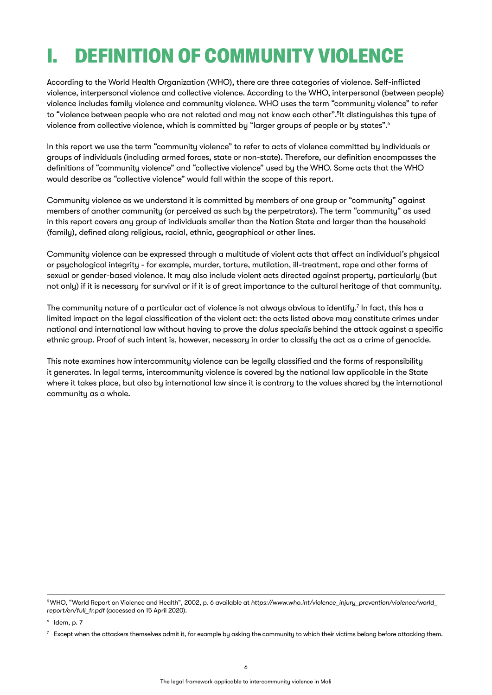## <span id="page-5-0"></span>I. DEFINITION OF COMMUNITY VIOLENCE

According to the World Health Organization (WHO), there are three categories of violence. Self-inflicted violence, interpersonal violence and collective violence. According to the WHO, interpersonal (between people) violence includes family violence and community violence. WHO uses the term "community violence" to refer to "violence between people who are not related and may not know each other".5 It distinguishes this type of violence from collective violence, which is committed by "larger groups of people or by states".<sup>6</sup>

In this report we use the term "community violence" to refer to acts of violence committed by individuals or groups of individuals (including armed forces, state or non-state). Therefore, our definition encompasses the definitions of "community violence" and "collective violence" used by the WHO. Some acts that the WHO would describe as "collective violence" would fall within the scope of this report.

Community violence as we understand it is committed by members of one group or "community" against members of another community (or perceived as such by the perpetrators). The term "community" as used in this report covers any group of individuals smaller than the Nation State and larger than the household (family), defined along religious, racial, ethnic, geographical or other lines.

Community violence can be expressed through a multitude of violent acts that affect an individual's physical or psychological integrity - for example, murder, torture, mutilation, ill-treatment, rape and other forms of sexual or gender-based violence. It may also include violent acts directed against property, particularly (but not only) if it is necessary for survival or if it is of great importance to the cultural heritage of that community.

The community nature of a particular act of violence is not always obvious to identify. $^{\prime}$  In fact, this has a limited impact on the legal classification of the violent act: the acts listed above may constitute crimes under national and international law without having to prove the *dolus specialis* behind the attack against a specific ethnic group. Proof of such intent is, however, necessary in order to classify the act as a crime of genocide.

This note examines how intercommunity violence can be legally classified and the forms of responsibility it generates. In legal terms, intercommunity violence is covered by the national law applicable in the State where it takes place, but also by international law since it is contrary to the values shared by the international community as a whole.

<sup>5</sup> WHO, "World Report on Violence and Health", 2002, p. 6 available at *[https://www.who.int/violence\\_injury\\_prevention/violence/world\\_](https://www.who.int/violence_injury_prevention/violence/world_report/en/full_fr.pdf) [report/en/full\\_fr.pdf](https://www.who.int/violence_injury_prevention/violence/world_report/en/full_fr.pdf)* (accessed on 15 April 2020).

 $6$  Idem, p. 7

 $^7$  Except when the attackers themselves admit it, for example by asking the community to which their victims belong before attacking them.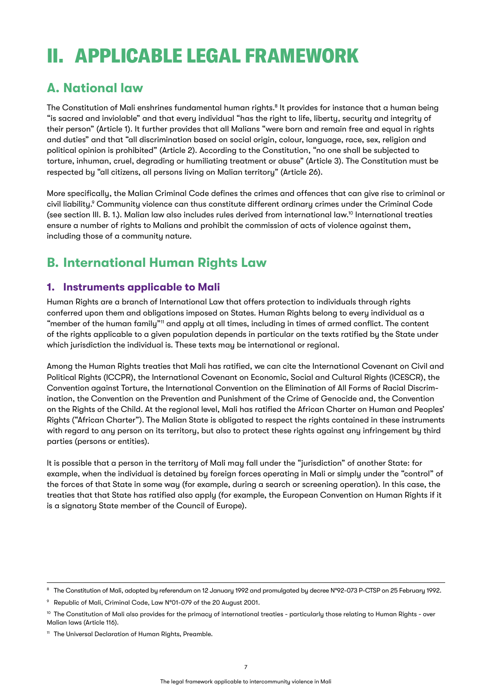# <span id="page-6-0"></span>II. APPLICABLE LEGAL FRAMEWORK

### **A. National law**

The Constitution of Mali enshrines fundamental human rights.<sup>8</sup> It provides for instance that a human being "is sacred and inviolable" and that every individual "has the right to life, liberty, security and integrity of their person" (Article 1). It further provides that all Malians "were born and remain free and equal in rights and duties" and that "all discrimination based on social origin, colour, language, race, sex, religion and political opinion is prohibited" (Article 2). According to the Constitution, "no one shall be subjected to torture, inhuman, cruel, degrading or humiliating treatment or abuse" (Article 3). The Constitution must be respected by "all citizens, all persons living on Malian territory" (Article 26).

More specifically, the Malian Criminal Code defines the crimes and offences that can give rise to criminal or civil liability.<sup>9</sup> Community violence can thus constitute different ordinary crimes under the Criminal Code (see section III. B. 1.). Malian law also includes rules derived from international law.10 International treaties ensure a number of rights to Malians and prohibit the commission of acts of violence against them, including those of a community nature.

### **B. International Human Rights Law**

### **1. Instruments applicable to Mali**

Human Rights are a branch of International Law that offers protection to individuals through rights conferred upon them and obligations imposed on States. Human Rights belong to every individual as a "member of the human family"<sup>11</sup> and apply at all times, including in times of armed conflict. The content of the rights applicable to a given population depends in particular on the texts ratified by the State under which jurisdiction the individual is. These texts may be international or regional.

Among the Human Rights treaties that Mali has ratified, we can cite the International Covenant on Civil and Political Rights (ICCPR), the International Covenant on Economic, Social and Cultural Rights (ICESCR), the Convention against Torture, the International Convention on the Elimination of All Forms of Racial Discrimination, the Convention on the Prevention and Punishment of the Crime of Genocide and, the Convention on the Rights of the Child. At the regional level, Mali has ratified the African Charter on Human and Peoples' Rights ("African Charter"). The Malian State is obligated to respect the rights contained in these instruments with regard to any person on its territory, but also to protect these rights against any infringement by third parties (persons or entities).

It is possible that a person in the territory of Mali may fall under the "jurisdiction" of another State: for example, when the individual is detained by foreign forces operating in Mali or simply under the "control" of the forces of that State in some way (for example, during a search or screening operation). In this case, the treaties that that State has ratified also apply (for example, the European Convention on Human Rights if it is a signatory State member of the Council of Europe).

<sup>&</sup>lt;sup>8</sup> The Constitution of Mali, adopted by referendum on 12 January 1992 and promulgated by decree N°92-073 P-CTSP on 25 February 1992.

<sup>9</sup> Republic of Mali, Criminal Code, Law N°01-079 of the 20 August 2001.

<sup>&</sup>lt;sup>10</sup> The Constitution of Mali also provides for the primacy of international treaties - particularly those relating to Human Rights - over Malian laws (Article 116).

<sup>&</sup>lt;sup>11</sup> The Universal Declaration of Human Rights, Preamble.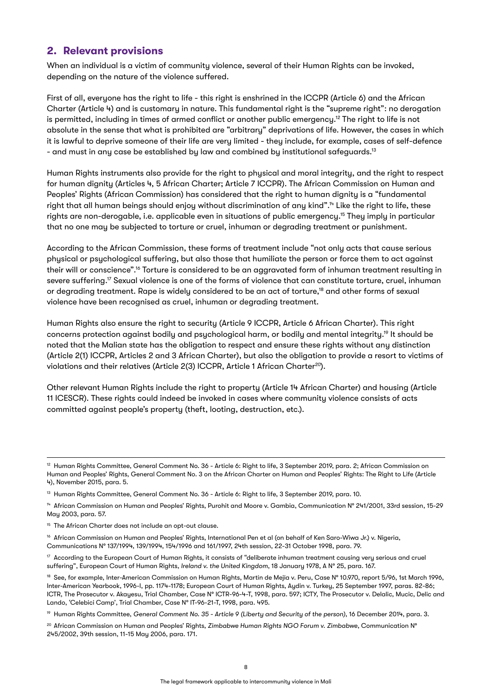#### <span id="page-7-0"></span>**2. Relevant provisions**

When an individual is a victim of community violence, several of their Human Rights can be invoked, depending on the nature of the violence suffered.

First of all, everyone has the right to life - this right is enshrined in the ICCPR (Article 6) and the African Charter (Article 4) and is customary in nature. This fundamental right is the "supreme right": no derogation is permitted, including in times of armed conflict or another public emergency.12 The right to life is not absolute in the sense that what is prohibited are "arbitrary" deprivations of life. However, the cases in which it is lawful to deprive someone of their life are very limited - they include, for example, cases of self-defence - and must in any case be established by law and combined by institutional safeguards.<sup>13</sup>

Human Rights instruments also provide for the right to physical and moral integrity, and the right to respect for human dignity (Articles 4, 5 African Charter; Article 7 ICCPR). The African Commission on Human and Peoples' Rights (African Commission) has considered that the right to human dignity is a "fundamental right that all human beings should enjoy without discrimination of any kind".<sup>14</sup> Like the right to life, these rights are non-derogable, i.e. applicable even in situations of public emergency.<sup>15</sup> They imply in particular that no one may be subjected to torture or cruel, inhuman or degrading treatment or punishment.

According to the African Commission, these forms of treatment include "not only acts that cause serious physical or psychological suffering, but also those that humiliate the person or force them to act against their will or conscience".16 Torture is considered to be an aggravated form of inhuman treatment resulting in severe suffering.<sup>17</sup> Sexual violence is one of the forms of violence that can constitute torture, cruel, inhuman or degrading treatment. Rape is widely considered to be an act of torture,<sup>18</sup> and other forms of sexual violence have been recognised as cruel, inhuman or degrading treatment.

Human Rights also ensure the right to security (Article 9 ICCPR, Article 6 African Charter). This right concerns protection against bodily and psychological harm, or bodily and mental integrity.19 It should be noted that the Malian state has the obligation to respect and ensure these rights without any distinction (Article 2(1) ICCPR, Articles 2 and 3 African Charter), but also the obligation to provide a resort to victims of violations and their relatives (Article 2(3) ICCPR, Article 1 African Charter<sup>20</sup>).

Other relevant Human Rights include the right to property (Article 14 African Charter) and housing (Article 11 ICESCR). These rights could indeed be invoked in cases where community violence consists of acts committed against people's property (theft, looting, destruction, etc.).

<sup>19</sup> Human Rights Committee, *General Comment No. 35 - Article 9 (Liberty and Security of the person)*, 16 December 2014, para. 3.

<sup>&</sup>lt;sup>12</sup> Human Rights Committee, General Comment No. 36 - Article 6: Right to life, 3 September 2019, para. 2; African Commission on Human and Peoples' Rights, General Comment No. 3 on the African Charter on Human and Peoples' Rights: The Right to Life (Article 4), November 2015, para. 5.

<sup>13</sup> Human Rights Committee, General Comment No. 36 - Article 6: Right to life, 3 September 2019, para. 10.

<sup>14</sup> African Commission on Human and Peoples' Rights, Purohit and Moore v. Gambia, Communication N° 241/2001, 33rd session, 15-29 May 2003, para. 57.

<sup>&</sup>lt;sup>15</sup> The African Charter does not include an opt-out clause.

<sup>&</sup>lt;sup>16</sup> African Commission on Human and Peoples' Rights, International Pen et al (on behalf of Ken Saro-Wiwa Jr.) v. Nigeria, Communications N° 137/1994, 139/1994, 154/1996 and 161/1997, 24th session, 22-31 October 1998, para. 79.

 $17$  According to the European Court of Human Rights, it consists of "deliberate inhuman treatment causing very serious and cruel suffering", European Court of Human Rights, *Ireland v. the United Kingdom*, 18 January 1978, A N° 25, para. 167.

<sup>18</sup> See, for example, Inter-American Commission on Human Rights, Martín de Mejía v. Peru, Case Nº 10.970, report 5/96, 1st March 1996, Inter-American Yearbook, 1996-I, pp. 1174-1178; European Court of Human Rights, Aydin v. Turkey, 25 September 1997, paras. 82-86; ICTR, The Prosecutor v. Akayesu, Trial Chamber, Case N° ICTR-96-4-T, 1998, para. 597; ICTY, The Prosecutor v. Delalic, Mucic, Delic and Lando, 'Celebici Camp', Trial Chamber, Case N° IT-96-21-T, 1998, para. 495.

<sup>20</sup> African Commission on Human and Peoples' Rights, *Zimbabwe Human Rights NGO Forum v. Zimbabwe*, Communication N° 245/2002, 39th session, 11-15 May 2006, para. 171.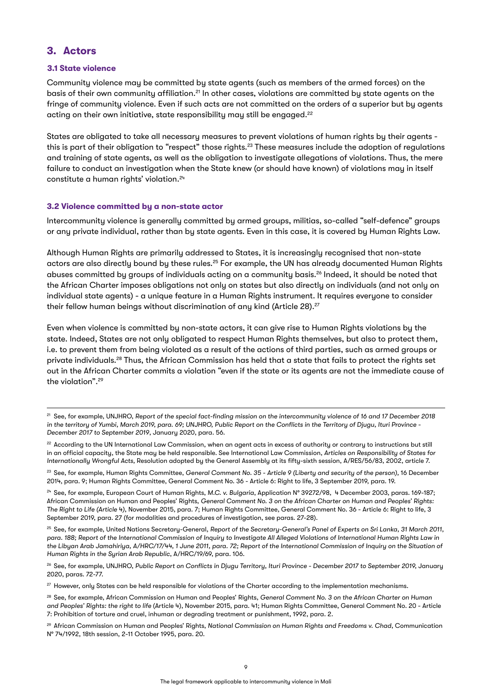#### <span id="page-8-0"></span>**3. Actors**

#### **3.1 State violence**

Community violence may be committed by state agents (such as members of the armed forces) on the basis of their own community affiliation.<sup>21</sup> In other cases, violations are committed by state agents on the fringe of community violence. Even if such acts are not committed on the orders of a superior but by agents acting on their own initiative, state responsibility may still be engaged.<sup>22</sup>

States are obligated to take all necessary measures to prevent violations of human rights by their agents this is part of their obligation to "respect" those rights.<sup>23</sup> These measures include the adoption of regulations and training of state agents, as well as the obligation to investigate allegations of violations. Thus, the mere failure to conduct an investigation when the State knew (or should have known) of violations may in itself constitute a human rights' violation.<sup>24</sup>

#### **3.2 Violence committed by a non-state actor**

Intercommunity violence is generally committed by armed groups, militias, so-called "self-defence" groups or any private individual, rather than by state agents. Even in this case, it is covered by Human Rights Law.

Although Human Rights are primarily addressed to States, it is increasingly recognised that non-state actors are also directly bound by these rules.25 For example, the UN has already documented Human Rights abuses committed by groups of individuals acting on a community basis.26 Indeed, it should be noted that the African Charter imposes obligations not only on states but also directly on individuals (and not only on individual state agents) - a unique feature in a Human Rights instrument. It requires everyone to consider their fellow human beings without discrimination of any kind (Article 28).<sup>27</sup>

Even when violence is committed by non-state actors, it can give rise to Human Rights violations by the state. Indeed, States are not only obligated to respect Human Rights themselves, but also to protect them, i.e. to prevent them from being violated as a result of the actions of third parties, such as armed groups or private individuals.28 Thus, the African Commission has held that a state that fails to protect the rights set out in the African Charter commits a violation "even if the state or its agents are not the immediate cause of the violation".29

<sup>29</sup> African Commission on Human and Peoples' Rights, *National Commission on Human Rights and Freedoms v. Chad*, Communication N° 74/1992, 18th session, 2-11 October 1995, para. 20.

<sup>21</sup> See, for example, UNJHRO, *Report of the special fact-finding mission on the intercommunity violence of 16 and 17 December 2018 in the territory of Yumbi, March 2019, para. 69; UNJHRO, Public Report on the Conflicts in the Territory of Djugu, Ituri Province - December 2017 to September 2019*, January 2020, para. 56.

<sup>&</sup>lt;sup>22</sup> According to the UN International Law Commission, when an agent acts in excess of authority or contrary to instructions but still in an official capacity, the State may be held responsible. See International Law Commission, *Articles on Responsibility of States for Internationally Wrongful Acts,* Resolution adopted by the General Assembly at its fifty-sixth session, A/RES/56/83, 2002, article 7.

<sup>23</sup> See, for example, Human Rights Committee, *General Comment No. 35 - Article 9 (Liberty and security of the person),* 16 December 2014, para. 9; Human Rights Committee, General Comment No. 36 - Article 6: Right to life, 3 September 2019, para. 19.

<sup>24</sup> See, for example, European Court of Human Rights, *M.C. v. Bulgaria*, Application N° 39272/98, 4 December 2003, paras. 169-187; African Commission on Human and Peoples' Rights, *General Comment No. 3 on the African Charter on Human and Peoples' Rights: The Right to Life (Article 4)*, November 2015, para. 7; Human Rights Committee, General Comment No. 36 - Article 6: Right to life, 3 September 2019, para. 27 (for modalities and procedures of investigation, see paras. 27-28).

<sup>&</sup>lt;sup>25</sup> See, for example, United Nations Secretary-General, Report of the Secretary-General's Panel of Experts on Sri Lanka, 31 March 2011, para. 188; Report of the International Commission of Inquiry to Investigate All Alleged Violations of International Human Rights Law in *the Libyan Arab Jamahiriya, A/HRC/17/44, 1 June 2011, para. 72; Report of the International Commission of Inquiry on the Situation of Human Rights in the Syrian Arab Republic*, A/HRC/19/69, para. 106.

<sup>26</sup> See, for example, UNJHRO, *Public Report on Conflicts in Djugu Territory, Ituri Province - December 2017 to September 2019,* January 2020, paras. 72-77.

<sup>&</sup>lt;sup>27</sup> However, only States can be held responsible for violations of the Charter according to the implementation mechanisms.

<sup>28</sup> See, for example, African Commission on Human and Peoples' Rights, *General Comment No. 3 on the African Charter on Human and Peoples' Rights: the right to life* (Article 4), November 2015, para. 41; Human Rights Committee, General Comment No. 20 - Article 7: Prohibition of torture and cruel, inhuman or degrading treatment or punishment, 1992, para. 2.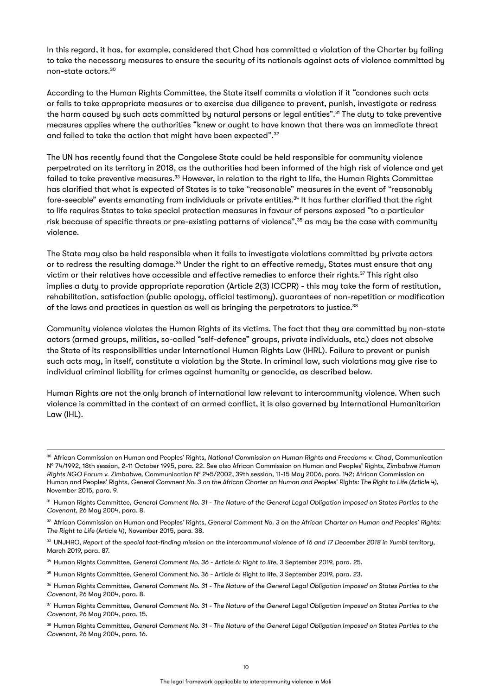In this regard, it has, for example, considered that Chad has committed a violation of the Charter by failing to take the necessary measures to ensure the security of its nationals against acts of violence committed by non-state actors.30

According to the Human Rights Committee, the State itself commits a violation if it "condones such acts or fails to take appropriate measures or to exercise due diligence to prevent, punish, investigate or redress the harm caused by such acts committed by natural persons or legal entities".<sup>31</sup> The duty to take preventive measures applies where the authorities "knew or ought to have known that there was an immediate threat and failed to take the action that might have been expected".32

The UN has recently found that the Congolese State could be held responsible for community violence perpetrated on its territory in 2018, as the authorities had been informed of the high risk of violence and yet failed to take preventive measures.<sup>33</sup> However, in relation to the right to life, the Human Rights Committee has clarified that what is expected of States is to take "reasonable" measures in the event of "reasonably fore-seeable" events emanating from individuals or private entities.34 It has further clarified that the right to life requires States to take special protection measures in favour of persons exposed "to a particular risk because of specific threats or pre-existing patterns of violence",<sup>35</sup> as may be the case with community violence.

The State may also be held responsible when it fails to investigate violations committed by private actors or to redress the resulting damage.<sup>36</sup> Under the right to an effective remedy, States must ensure that any victim or their relatives have accessible and effective remedies to enforce their rights.<sup>37</sup> This right also implies a duty to provide appropriate reparation (Article 2(3) ICCPR) - this may take the form of restitution, rehabilitation, satisfaction (public apology, official testimony), guarantees of non-repetition or modification of the laws and practices in question as well as bringing the perpetrators to justice.<sup>38</sup>

Community violence violates the Human Rights of its victims. The fact that they are committed by non-state actors (armed groups, militias, so-called "self-defence" groups, private individuals, etc.) does not absolve the State of its responsibilities under International Human Rights Law (IHRL). Failure to prevent or punish such acts may, in itself, constitute a violation by the State. In criminal law, such violations may give rise to individual criminal liability for crimes against humanity or genocide, as described below.

Human Rights are not the only branch of international law relevant to intercommunity violence. When such violence is committed in the context of an armed conflict, it is also governed by International Humanitarian Law (IHL).

<sup>38</sup> Human Rights Committee, *General Comment No. 31 - The Nature of the General Legal Obligation Imposed on States Parties to the Covenant*, 26 May 2004, para. 16.

<sup>30</sup> African Commission on Human and Peoples' Rights, *National Commission on Human Rights and Freedoms v. Chad*, Communication N° 74/1992, 18th session, 2-11 October 1995, para. 22. See also African Commission on Human and Peoples' Rights, *Zimbabwe Human Rights NGO Forum v. Zimbabwe,* Communication N° 245/2002, 39th session, 11-15 May 2006, para. 142; African Commission on Human and Peoples' Rights, *General Comment No. 3 on the African Charter on Human and Peoples' Rights: The Right to Life (Article 4),* November 2015, para. 9.

<sup>31</sup> Human Rights Committee, *General Comment No. 31 - The Nature of the General Legal Obligation Imposed on States Parties to the Covenant*, 26 May 2004, para. 8.

<sup>32</sup> African Commission on Human and Peoples' Rights, *General Comment No. 3 on the African Charter on Human and Peoples' Rights: The Right to Life* (Article 4), November 2015, para. 38.

<sup>33</sup> UNJHRO, *Report of the special fact-finding mission on the intercommunal violence of 16 and 17 December 2018 in Yumbi territory,*  March 2019, para. 87.

<sup>&</sup>lt;sup>34</sup> Human Rights Committee, *General Comment No. 36 - Article 6: Right to life*, 3 September 2019, para. 25.

<sup>35</sup> Human Rights Committee, General Comment No. 36 - Article 6: Right to life, 3 September 2019, para. 23.

<sup>36</sup> Human Rights Committee, *General Comment No. 31 - The Nature of the General Legal Obligation Imposed on States Parties to the Covenant*, 26 May 2004, para. 8.

<sup>37</sup> Human Rights Committee, *General Comment No. 31 - The Nature of the General Legal Obligation Imposed on States Parties to the Covenant*, 26 May 2004, para. 15.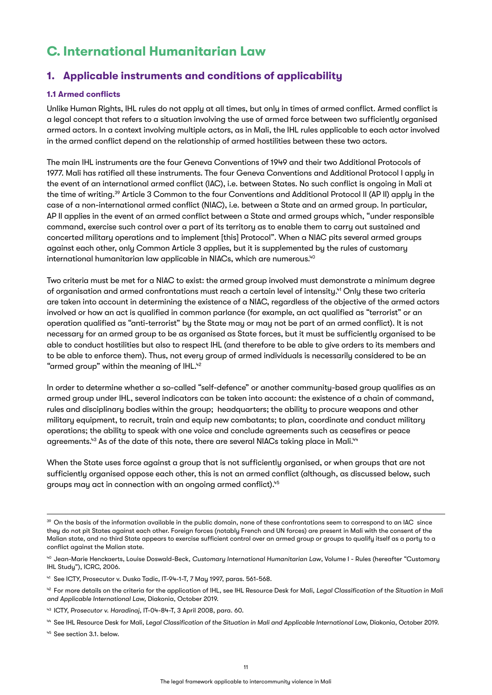### <span id="page-10-0"></span>**C. International Humanitarian Law**

#### **1. Applicable instruments and conditions of applicability**

#### **1.1 Armed conflicts**

Unlike Human Rights, IHL rules do not apply at all times, but only in times of armed conflict. Armed conflict is a legal concept that refers to a situation involving the use of armed force between two sufficiently organised armed actors. In a context involving multiple actors, as in Mali, the IHL rules applicable to each actor involved in the armed conflict depend on the relationship of armed hostilities between these two actors.

The main IHL instruments are the four Geneva Conventions of 1949 and their two Additional Protocols of 1977. Mali has ratified all these instruments. The four Geneva Conventions and Additional Protocol I apply in the event of an international armed conflict (IAC), i.e. between States. No such conflict is ongoing in Mali at the time of writing.39 Article 3 Common to the four Conventions and Additional Protocol II (AP II) apply in the case of a non-international armed conflict (NIAC), i.e. between a State and an armed group. In particular, AP II applies in the event of an armed conflict between a State and armed groups which, "under responsible command, exercise such control over a part of its territory as to enable them to carry out sustained and concerted military operations and to implement [this] Protocol". When a NIAC pits several armed groups against each other, only Common Article 3 applies, but it is supplemented by the rules of customary international humanitarian law applicable in NIACs, which are numerous. $40$ 

Two criteria must be met for a NIAC to exist: the armed group involved must demonstrate a minimum degree of organisation and armed confrontations must reach a certain level of intensity.<sup>41</sup> Only these two criteria are taken into account in determining the existence of a NIAC, regardless of the objective of the armed actors involved or how an act is qualified in common parlance (for example, an act qualified as "terrorist" or an operation qualified as "anti-terrorist" by the State may or may not be part of an armed conflict). It is not necessary for an armed group to be as organised as State forces, but it must be sufficiently organised to be able to conduct hostilities but also to respect IHL (and therefore to be able to give orders to its members and to be able to enforce them). Thus, not every group of armed individuals is necessarily considered to be an "armed group" within the meaning of IHL.<sup>42</sup>

In order to determine whether a so-called "self-defence" or another community-based group qualifies as an armed group under IHL, several indicators can be taken into account: the existence of a chain of command, rules and disciplinary bodies within the group; headquarters; the ability to procure weapons and other military equipment, to recruit, train and equip new combatants; to plan, coordinate and conduct military operations; the ability to speak with one voice and conclude agreements such as ceasefires or peace agreements.<sup>43</sup> As of the date of this note, there are several NIACs taking place in Mali.<sup>44</sup>

When the State uses force against a group that is not sufficiently organised, or when groups that are not sufficiently organised oppose each other, this is not an armed conflict (although, as discussed below, such groups may act in connection with an ongoing armed conflict).<sup>45</sup>

<sup>&</sup>lt;sup>39</sup> On the basis of the information available in the public domain, none of these confrontations seem to correspond to an IAC since they do not pit States against each other. Foreign forces (notably French and UN forces) are present in Mali with the consent of the Malian state, and no third State appears to exercise sufficient control over an armed group or groups to qualify itself as a party to a conflict against the Malian state.

<sup>40</sup> Jean-Marie Henckaerts, Louise Doswald-Beck, *Customary International Humanitarian Law*, Volume I - Rules (hereafter "Customary IHL Study"), ICRC, 2006.

<sup>41</sup> See ICTY, Prosecutor v. Dusko Tadic, IT-94-1-T, 7 May 1997, paras. 561-568.

<sup>&</sup>lt;sup>42</sup> For more details on the criteria for the application of IHL, see IHL Resource Desk for Mali, Legal Classification of the Situation in Mali *and Applicable International Law,* Diakonia, October 2019.

<sup>43</sup> ICTY, *Prosecutor v. Haradinaj*, IT-04-84-T, 3 April 2008, para. 60.

<sup>44</sup> See IHL Resource Desk for Mali, *Legal Classification of the Situation in Mali and Applicable International Law,* Diakonia, October 2019.

<sup>&</sup>lt;sup>45</sup> See section 3.1. below.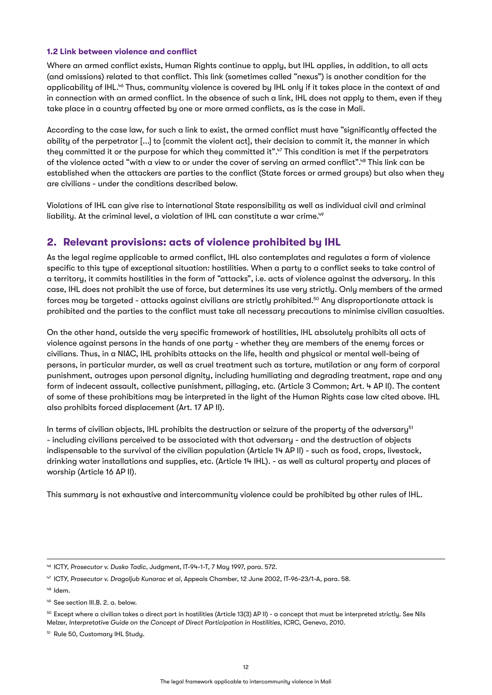#### <span id="page-11-0"></span>**1.2 Link between violence and conflict**

Where an armed conflict exists, Human Rights continue to apply, but IHL applies, in addition, to all acts (and omissions) related to that conflict. This link (sometimes called "nexus") is another condition for the applicability of IHL.<sup>46</sup> Thus, community violence is covered by IHL only if it takes place in the context of and in connection with an armed conflict. In the absence of such a link, IHL does not apply to them, even if they take place in a country affected by one or more armed conflicts, as is the case in Mali.

According to the case law, for such a link to exist, the armed conflict must have "significantly affected the ability of the perpetrator [...] to [commit the violent act], their decision to commit it, the manner in which they committed it or the purpose for which they committed it".<sup>47</sup> This condition is met if the perpetrators of the violence acted "with a view to or under the cover of serving an armed conflict".48 This link can be established when the attackers are parties to the conflict (State forces or armed groups) but also when they are civilians - under the conditions described below.

Violations of IHL can give rise to international State responsibility as well as individual civil and criminal liability. At the criminal level, a violation of IHL can constitute a war crime.<sup>49</sup>

#### **2. Relevant provisions: acts of violence prohibited by IHL**

As the legal regime applicable to armed conflict, IHL also contemplates and regulates a form of violence specific to this type of exceptional situation: hostilities. When a party to a conflict seeks to take control of a territory, it commits hostilities in the form of "attacks", i.e. acts of violence against the adversary. In this case, IHL does not prohibit the use of force, but determines its use very strictly. Only members of the armed forces may be targeted - attacks against civilians are strictly prohibited.50 Any disproportionate attack is prohibited and the parties to the conflict must take all necessary precautions to minimise civilian casualties.

On the other hand, outside the very specific framework of hostilities, IHL absolutely prohibits all acts of violence against persons in the hands of one party - whether they are members of the enemy forces or civilians. Thus, in a NIAC, IHL prohibits attacks on the life, health and physical or mental well-being of persons, in particular murder, as well as cruel treatment such as torture, mutilation or any form of corporal punishment, outrages upon personal dignity, including humiliating and degrading treatment, rape and any form of indecent assault, collective punishment, pillaging, etc. (Article 3 Common; Art. 4 AP II). The content of some of these prohibitions may be interpreted in the light of the Human Rights case law cited above. IHL also prohibits forced displacement (Art. 17 AP II).

In terms of civilian objects, IHL prohibits the destruction or seizure of the property of the adversary<sup>51</sup> - including civilians perceived to be associated with that adversary - and the destruction of objects indispensable to the survival of the civilian population (Article 14 AP II) - such as food, crops, livestock, drinking water installations and supplies, etc. (Article 14 IHL). - as well as cultural property and places of worship (Article 16 AP II).

This summary is not exhaustive and intercommunity violence could be prohibited by other rules of IHL.

<sup>46</sup> ICTY, *Prosecutor v. Dusko Tadic*, Judgment, IT-94-1-T, 7 May 1997, para. 572.

<sup>47</sup> ICTY, *Prosecutor v. Dragoljub Kunarac et al,* Appeals Chamber, 12 June 2002, IT-96-23/1-A, para. 58.

<sup>48</sup> Idem.

<sup>49</sup> See section III.B. 2. a. below.

<sup>50</sup> Except where a civilian takes a direct part in hostilities (Article 13(3) AP II) - a concept that must be interpreted strictly. See Nils Melzer, *Interpretative Guide on the Concept of Direct Participation in Hostilities*, ICRC, Geneva, 2010.

<sup>&</sup>lt;sup>51</sup> Rule 50, Customary IHL Study.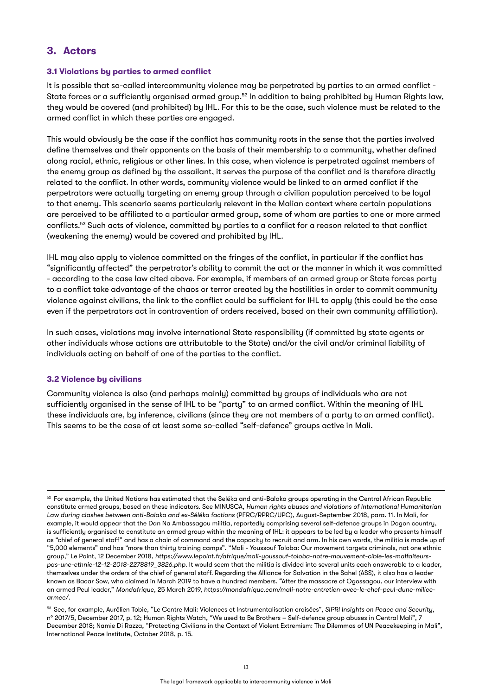#### <span id="page-12-0"></span>**3. Actors**

#### **3.1 Violations by parties to armed conflict**

It is possible that so-called intercommunity violence may be perpetrated by parties to an armed conflict - State forces or a sufficiently organised armed group.<sup>52</sup> In addition to being prohibited by Human Rights law, they would be covered (and prohibited) by IHL. For this to be the case, such violence must be related to the armed conflict in which these parties are engaged.

This would obviously be the case if the conflict has community roots in the sense that the parties involved define themselves and their opponents on the basis of their membership to a community, whether defined along racial, ethnic, religious or other lines. In this case, when violence is perpetrated against members of the enemy group as defined by the assailant, it serves the purpose of the conflict and is therefore directly related to the conflict. In other words, community violence would be linked to an armed conflict if the perpetrators were actually targeting an enemy group through a civilian population perceived to be loyal to that enemy. This scenario seems particularly relevant in the Malian context where certain populations are perceived to be affiliated to a particular armed group, some of whom are parties to one or more armed conflicts.53 Such acts of violence, committed by parties to a conflict for a reason related to that conflict (weakening the enemy) would be covered and prohibited by IHL.

IHL may also apply to violence committed on the fringes of the conflict, in particular if the conflict has "significantly affected" the perpetrator's ability to commit the act or the manner in which it was committed - according to the case law cited above. For example, if members of an armed group or State forces party to a conflict take advantage of the chaos or terror created by the hostilities in order to commit community violence against civilians, the link to the conflict could be sufficient for IHL to apply (this could be the case even if the perpetrators act in contravention of orders received, based on their own community affiliation).

In such cases, violations may involve international State responsibility (if committed by state agents or other individuals whose actions are attributable to the State) and/or the civil and/or criminal liability of individuals acting on behalf of one of the parties to the conflict.

#### **3.2 Violence by civilians**

Community violence is also (and perhaps mainly) committed by groups of individuals who are not sufficiently organised in the sense of IHL to be "party" to an armed conflict. Within the meaning of IHL these individuals are, by inference, civilians (since they are not members of a party to an armed conflict). This seems to be the case of at least some so-called "self-defence" groups active in Mali.

<sup>53</sup> See, for example, Aurélien Tobie, "Le Centre Mali: Violences et Instrumentalisation croisées", *SIPRI Insights on Peace and Security,* n° 2017/5, December 2017, p. 12; Human Rights Watch, "We used to Be Brothers – Self-defence group abuses in Central Mali", 7 December 2018; Namie Di Razza, "Protecting Civilians in the Context of Violent Extremism: The Dilemmas of UN Peacekeeping in Mali", International Peace Institute, October 2018, p. 15.

<sup>52</sup> For example, the United Nations has estimated that the Seléka and anti-Balaka groups operating in the Central African Republic constitute armed groups, based on these indicators. See MINUSCA, *Human rights abuses and violations of International Humanitarian Law during clashes between anti-Balaka and ex-Séléka factions* (PFRC/RPRC/UPC), August-September 2018, para. 11. In Mali, for example, it would appear that the Dan Na Ambassagou militia, reportedly comprising several self-defence groups in Dogon country, is sufficiently organised to constitute an armed group within the meaning of IHL: it appears to be led by a leader who presents himself as "chief of general staff" and has a chain of command and the capacity to recruit and arm. In his own words, the militia is made up of "5,000 elements" and has "more than thirty training camps". "Mali - Youssouf Toloba: Our movement targets criminals, not one ethnic group," Le Point, 12 December 2018, *[https://www.lepoint.fr/afrique/mali-youssouf-toloba-notre-mouvement-cible-les-malfaiteurs](https://www.lepoint.fr/afrique/mali-youssouf-toloba-notre-mouvement-cible-les-malfaiteurs-pas-une-ethnie-12-12-2018-2278819_3826.php)[pas-une-ethnie-12-12-2018-2278819\\_3826.php](https://www.lepoint.fr/afrique/mali-youssouf-toloba-notre-mouvement-cible-les-malfaiteurs-pas-une-ethnie-12-12-2018-2278819_3826.php)*. It would seem that the militia is divided into several units each answerable to a leader, themselves under the orders of the chief of general staff. Regarding the Alliance for Salvation in the Sahel (ASS), it also has a leader known as Bacar Sow, who claimed in March 2019 to have a hundred members. "After the massacre of Ogossagou, our interview with an armed Peul leader," *Mondafrique*, 25 March 2019, *[https://mondafrique.com/mali-notre-entretien-avec-le-chef-peul-dune-milice](https://mondafrique.com/mali-notre-entretien-avec-le-chef-peul-dune-milice-armee/)[armee/.](https://mondafrique.com/mali-notre-entretien-avec-le-chef-peul-dune-milice-armee/)*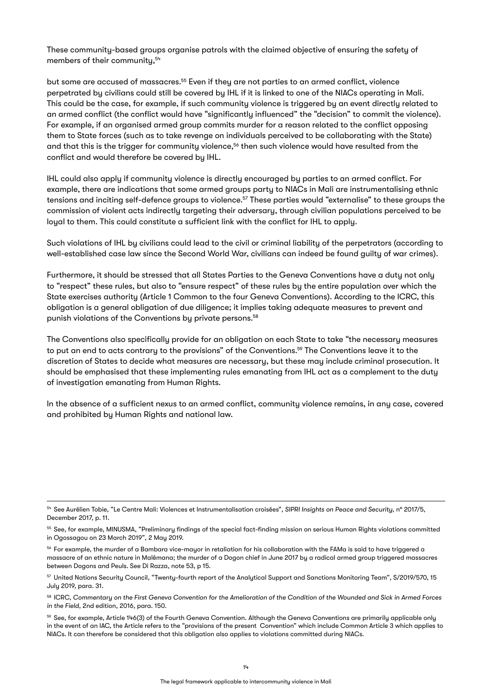These community-based groups organise patrols with the claimed objective of ensuring the safety of members of their communitu.<sup>54</sup>

but some are accused of massacres.55 Even if they are not parties to an armed conflict, violence perpetrated by civilians could still be covered by IHL if it is linked to one of the NIACs operating in Mali. This could be the case, for example, if such community violence is triggered by an event directly related to an armed conflict (the conflict would have "significantly influenced" the "decision" to commit the violence). For example, if an organised armed group commits murder for a reason related to the conflict opposing them to State forces (such as to take revenge on individuals perceived to be collaborating with the State) and that this is the trigger for community violence,<sup>56</sup> then such violence would have resulted from the conflict and would therefore be covered by IHL.

IHL could also apply if community violence is directly encouraged by parties to an armed conflict. For example, there are indications that some armed groups party to NIACs in Mali are instrumentalising ethnic tensions and inciting self-defence groups to violence.57 These parties would "externalise" to these groups the commission of violent acts indirectly targeting their adversary, through civilian populations perceived to be loyal to them. This could constitute a sufficient link with the conflict for IHL to apply.

Such violations of IHL by civilians could lead to the civil or criminal liability of the perpetrators (according to well-established case law since the Second World War, civilians can indeed be found guilty of war crimes).

Furthermore, it should be stressed that all States Parties to the Geneva Conventions have a duty not only to "respect" these rules, but also to "ensure respect" of these rules by the entire population over which the State exercises authority (Article 1 Common to the four Geneva Conventions). According to the ICRC, this obligation is a general obligation of due diligence; it implies taking adequate measures to prevent and punish violations of the Conventions by private persons.<sup>58</sup>

The Conventions also specifically provide for an obligation on each State to take "the necessary measures to put an end to acts contrary to the provisions" of the Conventions.59 The Conventions leave it to the discretion of States to decide what measures are necessary, but these may include criminal prosecution. It should be emphasised that these implementing rules emanating from IHL act as a complement to the duty of investigation emanating from Human Rights.

In the absence of a sufficient nexus to an armed conflict, community violence remains, in any case, covered and prohibited by Human Rights and national law.

<sup>54</sup> See Aurélien Tobie, "Le Centre Mali: Violences et Instrumentalisation croisées", *SIPRI Insights on Peace and Security*, n° 2017/5, December 2017, p. 11.

<sup>55</sup> See, for example, MINUSMA, "Preliminary findings of the special fact-finding mission on serious Human Rights violations committed in Ogossagou on 23 March 2019", 2 May 2019.

 $56$  For example, the murder of a Bambara vice-mauor in retaliation for his collaboration with the FAMa is said to have triggered a massacre of an ethnic nature in Malémana; the murder of a Dogon chief in June 2017 by a radical armed group triggered massacres between Dogons and Peuls. See Di Razza, note 53, p 15.

<sup>57</sup> United Nations Security Council, "Twenty-fourth report of the Analytical Support and Sanctions Monitoring Team", S/2019/570, 15 July 2019, para. 31.

<sup>58</sup> ICRC, *Commentary on the First Geneva Convention for the Amelioration of the Condition of the Wounded and Sick in Armed Forces in the Field*, 2nd edition, 2016, para. 150.

<sup>59</sup> See, for example, Article 146(3) of the Fourth Geneva Convention. Although the Geneva Conventions are primarily applicable only in the event of an IAC, the Article refers to the "provisions of the present Convention" which include Common Article 3 which applies to NIACs. It can therefore be considered that this obligation also applies to violations committed during NIACs.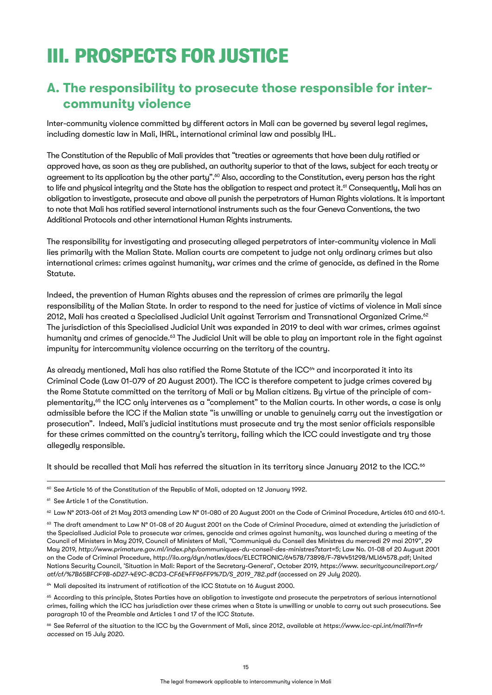## <span id="page-14-0"></span>III. PROSPECTS FOR JUSTICE

### **A. The responsibility to prosecute those responsible for intercommunity violence**

Inter-community violence committed by different actors in Mali can be governed by several legal regimes, including domestic law in Mali, IHRL, international criminal law and possibly IHL.

The Constitution of the Republic of Mali provides that "treaties or agreements that have been duly ratified or approved have, as soon as they are published, an authority superior to that of the laws, subject for each treaty or agreement to its application by the other party".<sup>60</sup> Also, according to the Constitution, every person has the right to life and physical integrity and the State has the obligation to respect and protect it.<sup>61</sup> Consequently, Mali has an obligation to investigate, prosecute and above all punish the perpetrators of Human Rights violations. It is important to note that Mali has ratified several international instruments such as the four Geneva Conventions, the two Additional Protocols and other international Human Rights instruments.

The responsibility for investigating and prosecuting alleged perpetrators of inter-community violence in Mali lies primarily with the Malian State. Malian courts are competent to judge not only ordinary crimes but also international crimes: crimes against humanity, war crimes and the crime of genocide, as defined in the Rome Statute.

Indeed, the prevention of Human Rights abuses and the repression of crimes are primarily the legal responsibility of the Malian State. In order to respond to the need for justice of victims of violence in Mali since 2012, Mali has created a Specialised Judicial Unit against Terrorism and Transnational Organized Crime.<sup>62</sup> The jurisdiction of this Specialised Judicial Unit was expanded in 2019 to deal with war crimes, crimes against humanity and crimes of genocide.<sup>63</sup> The Judicial Unit will be able to play an important role in the fight against impunity for intercommunity violence occurring on the territory of the country.

As already mentioned, Mali has also ratified the Rome Statute of the ICC<sup>64</sup> and incorporated it into its Criminal Code (Law 01-079 of 20 August 2001). The ICC is therefore competent to judge crimes covered by the Rome Statute committed on the territory of Mali or by Malian citizens. By virtue of the principle of complementarity,<sup>65</sup> the ICC only intervenes as a "complement" to the Malian courts. In other words, a case is only admissible before the ICC if the Malian state "is unwilling or unable to genuinely carry out the investigation or prosecution". Indeed, Mali's judicial institutions must prosecute and try the most senior officials responsible for these crimes committed on the country's territory, failing which the ICC could investigate and try those allegedly responsible.

It should be recalled that Mali has referred the situation in its territory since January 2012 to the ICC.<sup>66</sup>

<sup>64</sup> Mali deposited its instrument of ratification of the ICC Statute on 16 August 2000.

<sup>65</sup> According to this principle, States Parties have an obligation to investigate and prosecute the perpetrators of serious international crimes, failing which the ICC has jurisdiction over these crimes when a State is unwilling or unable to carry out such prosecutions. See paragraph 10 of the Preamble and Articles 1 and 17 of the ICC *Statute*.

<sup>66</sup> See Referral of the situation to the ICC by the Government of Mali, since 2012, available at *<https://www.icc-cpi.int/mali?ln=fr> accessed* on 15 July 2020.

<sup>&</sup>lt;sup>60</sup> See Article 16 of the Constitution of the Republic of Mali, adopted on 12 January 1992.

<sup>&</sup>lt;sup>61</sup> See Article 1 of the Constitution.

<sup>62</sup> Law N° 2013-061 of 21 May 2013 amending Law N° 01-080 of 20 August 2001 on the Code of Criminal Procedure, Articles 610 and 610-1.

<sup>63</sup> The draft amendment to Law N° 01-08 of 20 August 2001 on the Code of Criminal Procedure, aimed at extending the jurisdiction of the Specialised Judicial Pole to prosecute war crimes, genocide and crimes against humanity, was launched during a meeting of the Council of Ministers in May 2019, Council of Ministers of Mali, "Communiqué du Conseil des Ministres du mercredi 29 mai 2019", 29 May 2019, *<http://www.primature.gov.ml/index.php/communiques-du-conseil-des-ministres?start=5>;* Law No. 01-08 of 20 August 2001 on the Code of Criminal Procedure,<http://ilo.org/dyn/natlex/docs/ELECTRONIC/64578/73898/F-784451298/MLI64578.pdf>; United Nations Security Council, 'Situation in Mali: Report of the Secretary-General', October 2019, *https://www. [securitycouncilreport.org/](http://securitycouncilreport.org/atf/cf/%7B65BFCF9B-6D27-4E9C-8CD3-CF6E4FF96FF9%7D/S_2019_782.pdf) [atf/cf/%7B65BFCF9B-6D27-4E9C-8CD3-CF6E4FF96FF9%7D/S\\_2019\\_782.pdf](http://securitycouncilreport.org/atf/cf/%7B65BFCF9B-6D27-4E9C-8CD3-CF6E4FF96FF9%7D/S_2019_782.pdf)* (accessed on 29 July 2020).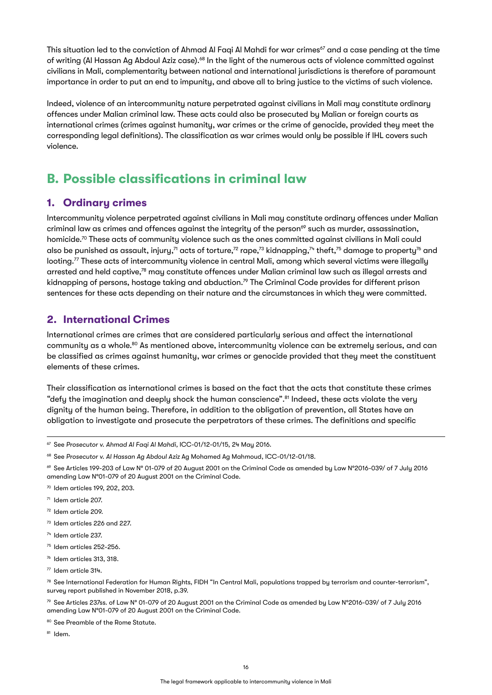<span id="page-15-0"></span>This situation led to the conviction of Ahmad Al Faqi Al Mahdi for war crimes<sup>67</sup> and a case pending at the time of writing (Al Hassan Ag Abdoul Aziz case).<sup>68</sup> In the light of the numerous acts of violence committed against civilians in Mali, complementarity between national and international jurisdictions is therefore of paramount importance in order to put an end to impunity, and above all to bring justice to the victims of such violence.

Indeed, violence of an intercommunity nature perpetrated against civilians in Mali may constitute ordinary offences under Malian criminal law. These acts could also be prosecuted by Malian or foreign courts as international crimes (crimes against humanity, war crimes or the crime of genocide, provided they meet the corresponding legal definitions). The classification as war crimes would only be possible if IHL covers such violence.

### **B. Possible classifications in criminal law**

#### **1. Ordinary crimes**

Intercommunity violence perpetrated against civilians in Mali may constitute ordinary offences under Malian criminal law as crimes and offences against the integrity of the person $69$  such as murder, assassination, homicide.<sup>70</sup> These acts of community violence such as the ones committed against civilians in Mali could also be punished as assault, injury,<sup>71</sup> acts of torture,<sup>72</sup> rape,<sup>73</sup> kidnapping,<sup>74</sup> theft,<sup>75</sup> damage to property<sup>76</sup> and looting.<sup>77</sup> These acts of intercommunity violence in central Mali, among which several victims were illegally arrested and held captive,<sup>78</sup> may constitute offences under Malian criminal law such as illegal arrests and kidnapping of persons, hostage taking and abduction.<sup>79</sup> The Criminal Code provides for different prison sentences for these acts depending on their nature and the circumstances in which they were committed.

#### **2. International Crimes**

International crimes are crimes that are considered particularly serious and affect the international community as a whole.80 As mentioned above, intercommunity violence can be extremely serious, and can be classified as crimes against humanity, war crimes or genocide provided that they meet the constituent elements of these crimes.

Their classification as international crimes is based on the fact that the acts that constitute these crimes "defy the imagination and deeply shock the human conscience".<sup>81</sup> Indeed, these acts violate the very dignity of the human being. Therefore, in addition to the obligation of prevention, all States have an obligation to investigate and prosecute the perpetrators of these crimes. The definitions and specific

- <sup>72</sup> Idem article 209.
- <sup>73</sup> Idem articles 226 and 227.
- <sup>74</sup> Idem article 237.
- <sup>75</sup> Idem articles 252-256.
- $%$  Idem articles 313, 318.
- <sup>77</sup> Idem article 314.

<sup>78</sup> See International Federation for Human Rights, FIDH "In Central Mali, populations trapped by terrorism and counter-terrorism", survey report published in November 2018, p.39.

 $79$  See Articles 237ss. of Law N° 01-079 of 20 August 2001 on the Criminal Code as amended by Law N°2016-039/ of 7 July 2016 amending Law N°01-079 of 20 August 2001 on the Criminal Code.

<sup>80</sup> See Preamble of the Rome Statute.

 $81$  Idem

<sup>67</sup> See *Prosecutor v. Ahmad Al Faqi Al Mahdi,* ICC-01/12-01/15, 24 May 2016.

<sup>68</sup> See *Prosecutor v. Al Hassan Ag Abdoul Aziz* Ag Mohamed Ag Mahmoud, ICC-01/12-01/18.

<sup>69</sup> See Articles 199-203 of Law N° 01-079 of 20 August 2001 on the Criminal Code as amended by Law N°2016-039/ of 7 July 2016 amending Law N°01-079 of 20 August 2001 on the Criminal Code.

<sup>70</sup> Idem articles 199, 202, 203.

<sup>71</sup> Idem article 207.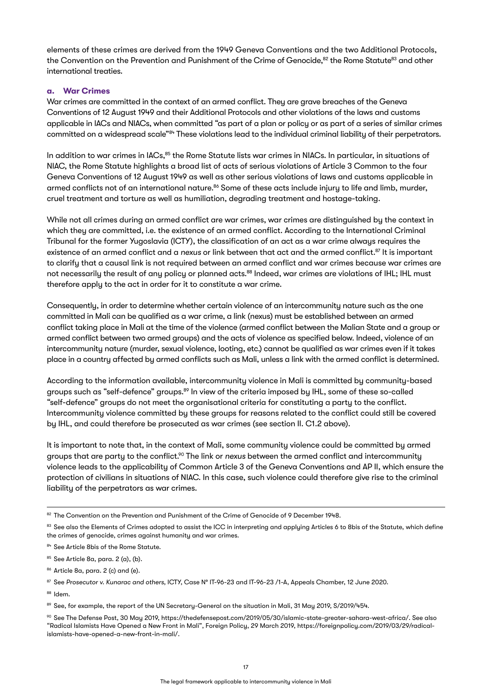elements of these crimes are derived from the 1949 Geneva Conventions and the two Additional Protocols, the Convention on the Prevention and Punishment of the Crime of Genocide,<sup>82</sup> the Rome Statute<sup>83</sup> and other international treaties.

#### **a. War Crimes**

War crimes are committed in the context of an armed conflict. They are grave breaches of the Geneva Conventions of 12 August 1949 and their Additional Protocols and other violations of the laws and customs applicable in IACs and NIACs, when committed "as part of a plan or policy or as part of a series of similar crimes committed on a widespread scale"84 These violations lead to the individual criminal liability of their perpetrators.

In addition to war crimes in IACs,<sup>85</sup> the Rome Statute lists war crimes in NIACs. In particular, in situations of NIAC, the Rome Statute highlights a broad list of acts of serious violations of Article 3 Common to the four Geneva Conventions of 12 August 1949 as well as other serious violations of laws and customs applicable in armed conflicts not of an international nature.<sup>86</sup> Some of these acts include injury to life and limb, murder, cruel treatment and torture as well as humiliation, degrading treatment and hostage-taking.

While not all crimes during an armed conflict are war crimes, war crimes are distinguished by the context in which they are committed, i.e. the existence of an armed conflict. According to the International Criminal Tribunal for the former Yugoslavia (ICTY), the classification of an act as a war crime always requires the existence of an armed conflict and a *nexus* or link between that act and the armed conflict.87 It is important to clarify that a causal link is not required between an armed conflict and war crimes because war crimes are not necessarily the result of any policy or planned acts.<sup>88</sup> Indeed, war crimes are violations of IHL; IHL must therefore apply to the act in order for it to constitute a war crime.

Consequently, in order to determine whether certain violence of an intercommunity nature such as the one committed in Mali can be qualified as a war crime, a link (nexus) must be established between an armed conflict taking place in Mali at the time of the violence (armed conflict between the Malian State and a group or armed conflict between two armed groups) and the acts of violence as specified below. Indeed, violence of an intercommunity nature (murder, sexual violence, looting, etc.) cannot be qualified as war crimes even if it takes place in a country affected by armed conflicts such as Mali, unless a link with the armed conflict is determined.

According to the information available, intercommunity violence in Mali is committed by community-based groups such as "self-defence" groups.<sup>89</sup> In view of the criteria imposed by IHL, some of these so-called "self-defence" groups do not meet the organisational criteria for constituting a party to the conflict. Intercommunity violence committed by these groups for reasons related to the conflict could still be covered by IHL, and could therefore be prosecuted as war crimes (see section II. C1.2 above).

It is important to note that, in the context of Mali, some community violence could be committed by armed groups that are party to the conflict.90 The link or *nexus* between the armed conflict and intercommunity violence leads to the applicability of Common Article 3 of the Geneva Conventions and AP II, which ensure the protection of civilians in situations of NIAC. In this case, such violence could therefore give rise to the criminal liability of the perpetrators as war crimes.

<sup>82</sup> The Convention on the Prevention and Punishment of the Crime of Genocide of 9 December 1948.

<sup>83</sup> See also the Elements of Crimes adopted to assist the ICC in interpreting and applying Articles 6 to 8bis of the Statute, which define the crimes of genocide, crimes against humanity and war crimes.

<sup>84</sup> See Article 8bis of the Rome Statute.

 $85$  See Article 8a, para. 2 (a), (b).

<sup>86</sup> Article 8a, para. 2 (c) and (e).

<sup>87</sup> See Prosecutor v. Kunarac and others, ICTY, Case Nº IT-96-23 and IT-96-23 /1-A, Appeals Chamber, 12 June 2020.

<sup>88</sup> Idem.

<sup>89</sup> See, for example, the report of the UN Secretary-General on the situation in Mali, 31 May 2019, S/2019/454.

<sup>90</sup> See The Defense Post, 30 May 2019, [https://thedefensepost.com/2019/05/30/islamic-state-greater-sahara-west-africa/.](https://thedefensepost.com/2019/05/30/islamic-state-greater-sahara-west-africa/) See also "Radical Islamists Have Opened a New Front in Mali", Foreign Policy, 29 March 2019, [https://foreignpolicy.com/2019/03/29/radical](https://foreignpolicy.com/2019/03/29/radical-islamists-have-opened-a-new-front-in-mali/)[islamists-have-opened-a-new-front-in-mali/](https://foreignpolicy.com/2019/03/29/radical-islamists-have-opened-a-new-front-in-mali/).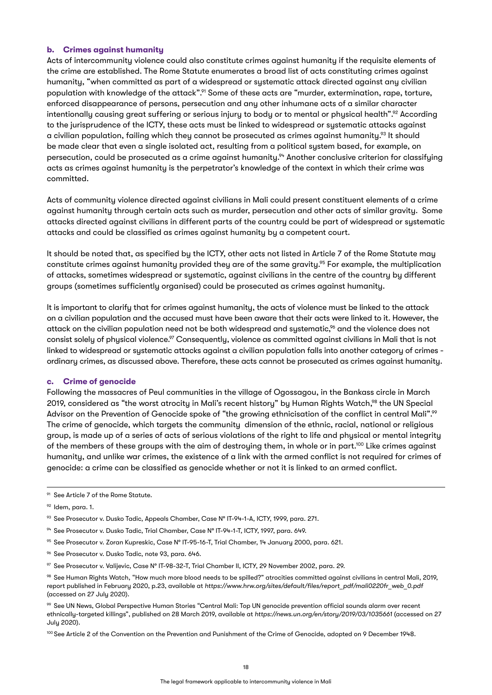#### **b. Crimes against humanity**

Acts of intercommunity violence could also constitute crimes against humanity if the requisite elements of the crime are established. The Rome Statute enumerates a broad list of acts constituting crimes against humanity, "when committed as part of a widespread or systematic attack directed against any civilian population with knowledge of the attack".<sup>91</sup> Some of these acts are "murder, extermination, rape, torture, enforced disappearance of persons, persecution and any other inhumane acts of a similar character intentionally causing great suffering or serious injury to body or to mental or physical health".<sup>92</sup> According to the jurisprudence of the ICTY, these acts must be linked to widespread or sustematic attacks against a civilian population, failing which they cannot be prosecuted as crimes against humanity.<sup>93</sup> It should be made clear that even a single isolated act, resulting from a political system based, for example, on persecution, could be prosecuted as a crime against humanity.<sup>94</sup> Another conclusive criterion for classifying acts as crimes against humanity is the perpetrator's knowledge of the context in which their crime was committed.

Acts of community violence directed against civilians in Mali could present constituent elements of a crime against humanity through certain acts such as murder, persecution and other acts of similar gravity. Some attacks directed against civilians in different parts of the country could be part of widespread or systematic attacks and could be classified as crimes against humanity by a competent court.

It should be noted that, as specified by the ICTY, other acts not listed in Article 7 of the Rome Statute may constitute crimes against humanity provided they are of the same gravity.<sup>95</sup> For example, the multiplication of attacks, sometimes widespread or systematic, against civilians in the centre of the country by different groups (sometimes sufficiently organised) could be prosecuted as crimes against humanity.

It is important to clarify that for crimes against humanity, the acts of violence must be linked to the attack on a civilian population and the accused must have been aware that their acts were linked to it. However, the attack on the civilian population need not be both widespread and systematic,<sup>66</sup> and the violence does not consist solely of physical violence.<sup>97</sup> Consequently, violence as committed against civilians in Mali that is not linked to widespread or systematic attacks against a civilian population falls into another category of crimes ordinary crimes, as discussed above. Therefore, these acts cannot be prosecuted as crimes against humanity.

#### **c. Crime of genocide**

Following the massacres of Peul communities in the village of Ogossagou, in the Bankass circle in March 2019, considered as "the worst atrocity in Mali's recent history" by Human Rights Watch,<sup>98</sup> the UN Special Advisor on the Prevention of Genocide spoke of "the growing ethnicisation of the conflict in central Mali".<sup>99</sup> The crime of genocide, which targets the community dimension of the ethnic, racial, national or religious group, is made up of a series of acts of serious violations of the right to life and physical or mental integrity of the members of these groups with the aim of destroying them, in whole or in part.<sup>100</sup> Like crimes against humanity, and unlike war crimes, the existence of a link with the armed conflict is not required for crimes of genocide: a crime can be classified as genocide whether or not it is linked to an armed conflict.

- <sup>94</sup> See Prosecutor v. Dusko Tadic, Trial Chamber, Case N° IT-94-1-T, ICTY, 1997, para. 649.
- <sup>95</sup> See Prosecutor v. Zoran Kupreskic, Case N° IT-95-16-T, Trial Chamber, 14 January 2000, para. 621.
- <sup>96</sup> See Prosecutor v. Dusko Tadic, note 93, para. 646.
- <sup>97</sup> See Prosecutor v. Valijevic, Case N° IT-98-32-T, Trial Chamber II, ICTY, 29 November 2002, para. 29.

100 See Article 2 of the Convention on the Prevention and Punishment of the Crime of Genocide, adopted on 9 December 1948.

<sup>&</sup>lt;sup>91</sup> See Article 7 of the Rome Statute.

<sup>92</sup> Idem, para. 1.

<sup>93</sup> See Prosecutor v. Dusko Tadic, Appeals Chamber, Case Nº IT-94-1-A, ICTY, 1999, para. 271.

<sup>98</sup> See Human Rights Watch, "How much more blood needs to be spilled?" atrocities committed against civilians in central Mali, 2019, report published in February 2020, p.23, available at *[https://www.hrw.org/sites/default/files/report\\_pdf/mali0220fr\\_web\\_0.pdf](https://www.hrw.org/sites/default/files/report_pdf/mali0220fr_web_0.pdf)* (accessed on 27 July 2020).

<sup>99</sup> See UN News, Global Perspective Human Stories "Central Mali: Top UN genocide prevention official sounds alarm over recent ethnically-targeted killings", published on 28 March 2019, available at *<https://news.un.org/en/story/2019/03/1035661>* (accessed on 27 July 2020).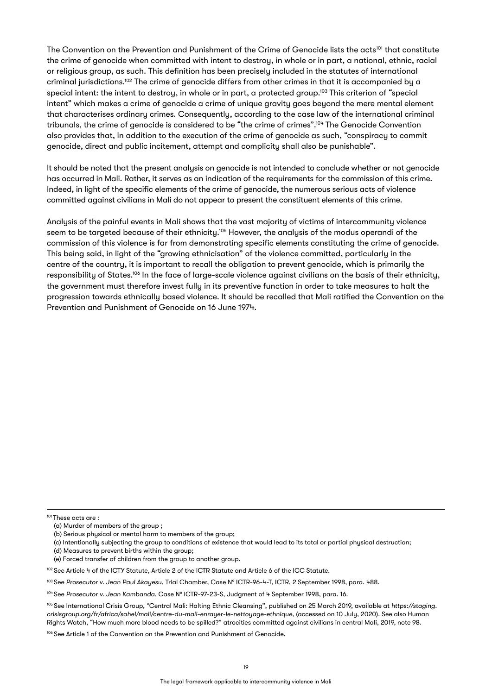The Convention on the Prevention and Punishment of the Crime of Genocide lists the acts<sup>101</sup> that constitute the crime of genocide when committed with intent to destroy, in whole or in part, a national, ethnic, racial or religious group, as such. This definition has been precisely included in the statutes of international criminal jurisdictions.102 The crime of genocide differs from other crimes in that it is accompanied by a special intent: the intent to destroy, in whole or in part, a protected group.<sup>103</sup> This criterion of "special intent" which makes a crime of genocide a crime of unique gravity goes beyond the mere mental element that characterises ordinary crimes. Consequently, according to the case law of the international criminal tribunals, the crime of genocide is considered to be "the crime of crimes".104 The Genocide Convention also provides that, in addition to the execution of the crime of genocide as such, "conspiracy to commit genocide, direct and public incitement, attempt and complicity shall also be punishable".

It should be noted that the present analysis on genocide is not intended to conclude whether or not genocide has occurred in Mali. Rather, it serves as an indication of the requirements for the commission of this crime. Indeed, in light of the specific elements of the crime of genocide, the numerous serious acts of violence committed against civilians in Mali do not appear to present the constituent elements of this crime.

Analysis of the painful events in Mali shows that the vast majority of victims of intercommunity violence seem to be targeted because of their ethnicity.<sup>105</sup> However, the analysis of the modus operandi of the commission of this violence is far from demonstrating specific elements constituting the crime of genocide. This being said, in light of the "growing ethnicisation" of the violence committed, particularly in the centre of the country, it is important to recall the obligation to prevent genocide, which is primarily the responsibility of States.<sup>106</sup> In the face of large-scale violence against civilians on the basis of their ethnicity, the government must therefore invest fully in its preventive function in order to take measures to halt the progression towards ethnically based violence. It should be recalled that Mali ratified the Convention on the Prevention and Punishment of Genocide on 16 June 1974.

101 These acts are :

<sup>(</sup>a) Murder of members of the group ;

<sup>(</sup>b) Serious physical or mental harm to members of the group;

<sup>(</sup>c) Intentionally subjecting the group to conditions of existence that would lead to its total or partial physical destruction;

<sup>(</sup>d) Measures to prevent births within the group;

<sup>(</sup>e) Forced transfer of children from the group to another group.

<sup>102</sup> See Article 4 of the ICTY Statute, Article 2 of the ICTR Statute and Article 6 of the ICC Statute.

<sup>103</sup> See *Prosecutor v. Jean Paul Akayesu*, Trial Chamber, Case N° ICTR-96-4-T, ICTR, 2 September 1998, para. 488.

<sup>104</sup> See *Prosecutor v. Jean Kambanda,* Case N° ICTR-97-23-S, Judgment of 4 September 1998, para. 16.

<sup>105</sup> See International Crisis Group, "Central Mali: Halting Ethnic Cleansing", published on 25 March 2019, available at *[https://staging.](https://staging.crisisgroup.org/fr/africa/sahel/mali/centre-du-mali-enrayer-le-nettoyage-ethnique) [crisisgroup.org/fr/africa/sahel/mali/centre-du-mali-enrayer-le-nettoyage-ethnique](https://staging.crisisgroup.org/fr/africa/sahel/mali/centre-du-mali-enrayer-le-nettoyage-ethnique)*, (accessed on 10 July, 2020). See also Human Rights Watch, "How much more blood needs to be spilled?" atrocities committed against civilians in central Mali, 2019, note 98.

<sup>106</sup> See Article 1 of the Convention on the Prevention and Punishment of Genocide.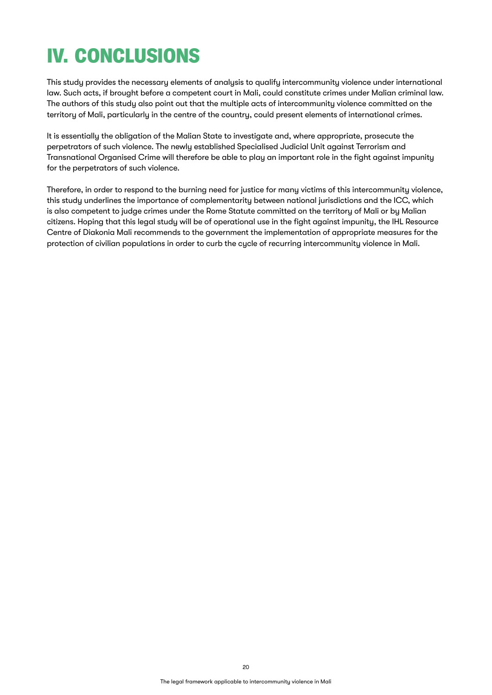# <span id="page-19-0"></span>IV. CONCLUSIONS

This study provides the necessary elements of analysis to qualify intercommunity violence under international law. Such acts, if brought before a competent court in Mali, could constitute crimes under Malian criminal law. The authors of this study also point out that the multiple acts of intercommunity violence committed on the territory of Mali, particularly in the centre of the country, could present elements of international crimes.

It is essentially the obligation of the Malian State to investigate and, where appropriate, prosecute the perpetrators of such violence. The newly established Specialised Judicial Unit against Terrorism and Transnational Organised Crime will therefore be able to play an important role in the fight against impunity for the perpetrators of such violence.

Therefore, in order to respond to the burning need for justice for many victims of this intercommunity violence, this study underlines the importance of complementarity between national jurisdictions and the ICC, which is also competent to judge crimes under the Rome Statute committed on the territory of Mali or by Malian citizens. Hoping that this legal study will be of operational use in the fight against impunity, the IHL Resource Centre of Diakonia Mali recommends to the government the implementation of appropriate measures for the protection of civilian populations in order to curb the cycle of recurring intercommunity violence in Mali.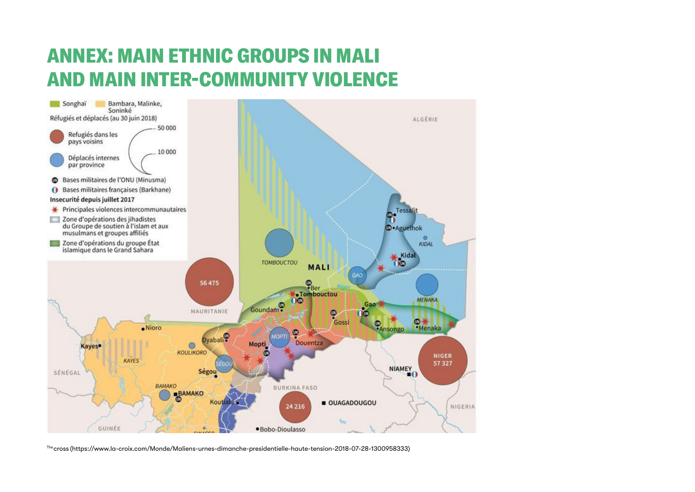### <span id="page-20-0"></span>ANNEX: MAIN ETHNIC GROUPS IN MALI AND MAIN INTER-COMMUNITY VIOLENCE



The cross [\(https://www.la-croix.com/Monde/Maliens-urnes-dimanche-presidentielle-haute-tension-2018-07-28-1300958333](https://www.la-croix.com/Monde/Maliens-urnes-dimanche-presidentielle-haute-tension-2018-07-28-1300958333))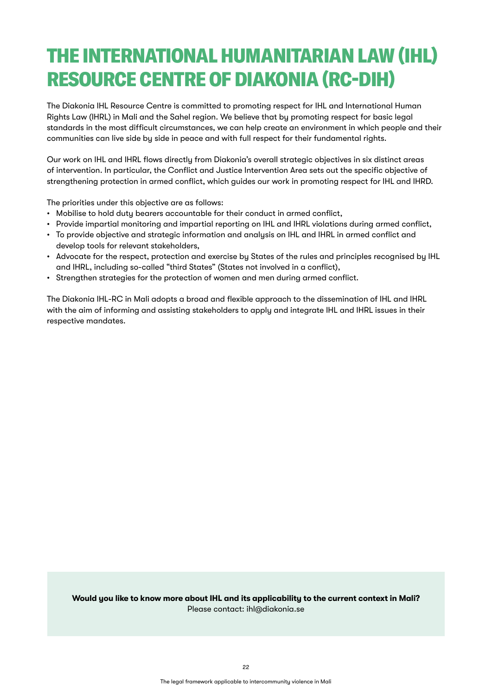# THE INTERNATIONAL HUMANITARIAN LAW (IHL) RESOURCE CENTRE OF DIAKONIA (RC-DIH)

The Diakonia IHL Resource Centre is committed to promoting respect for IHL and International Human Rights Law (IHRL) in Mali and the Sahel region. We believe that by promoting respect for basic legal standards in the most difficult circumstances, we can help create an environment in which people and their communities can live side by side in peace and with full respect for their fundamental rights.

Our work on IHL and IHRL flows directly from Diakonia's overall strategic objectives in six distinct areas of intervention. In particular, the Conflict and Justice Intervention Area sets out the specific objective of strengthening protection in armed conflict, which guides our work in promoting respect for IHL and IHRD.

The priorities under this objective are as follows:

- Mobilise to hold duty bearers accountable for their conduct in armed conflict,
- Provide impartial monitoring and impartial reporting on IHL and IHRL violations during armed conflict,
- To provide objective and strategic information and analysis on IHL and IHRL in armed conflict and develop tools for relevant stakeholders,
- Advocate for the respect, protection and exercise by States of the rules and principles recognised by IHL and IHRL, including so-called "third States" (States not involved in a conflict),
- Strengthen strategies for the protection of women and men during armed conflict.

The Diakonia IHL-RC in Mali adopts a broad and flexible approach to the dissemination of IHL and IHRL with the aim of informing and assisting stakeholders to apply and integrate IHL and IHRL issues in their respective mandates.

**Would you like to know more about IHL and its applicability to the current context in Mali?** Please contact: [ihl@diakonia.se](mailto:ihl@diakonia.se)